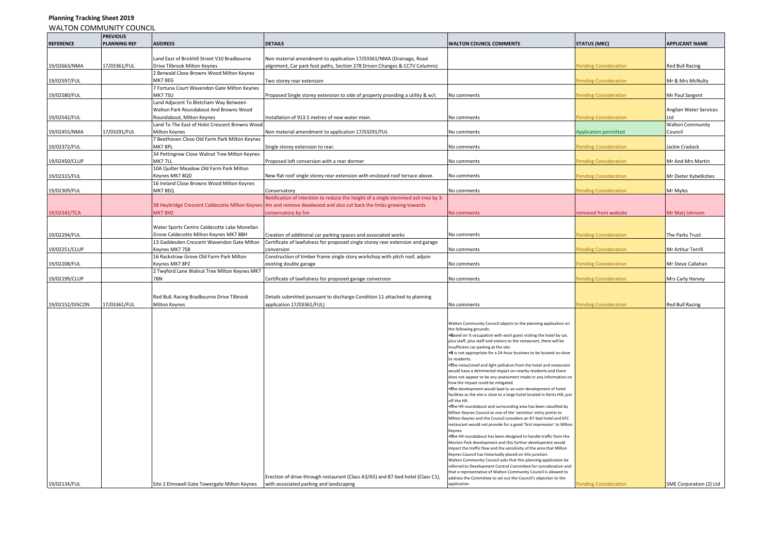## WALTON COMMUNITY COUNCIL **REFERENCE PREVIOUS PLANNING REF ADDRESS DETAILS WALTON COUNCIL COMMENTS STATUS (MKC) APPLICANT NAME** 19/02663/NMA 17/03361/FUL Land East of Brickhill Street V10 Bradbourne Drive Tilbrook Milton Keynes Non material amendment to application 17/03361/NMA (Drainage, Road alignment, Car park foot paths, Section 278 Driven Changes & CCTV Columns) Pending Consideration Red Bull Racing Red Bull Racing Red Bull Racing Red Bull Racing Red Bull Racing Red Bull Racing Red Bull Racing Red Bull Raci 19/02597/FUL 2 Berwald Close Browns Wood Milton Keynes MK7 8EG Two storey rear extension Pending Consideration Mr & Mrs McNulty 19/02580/FUL 7 Fortuna Court Wavendon Gate Milton Keynes<br>MK7 7SU Proposed Single storey extension to side of property providing a utility & w/c No comments Pending Consideration Mr Paul Sargent 19/02542/FUL Land Adjacent To Bletcham Way Between Walton Park Roundabout And Browns Wood nstallation of 913.5 metres of new water main. No comments and No comments and Renaisse Renaisse Pending Consideration Anglian Water Services Ltd 19/02455/NMA 17/03291/FUL Land To The East of Holst Crescent Browns Wood Non material amendment to application 17/03291/FUL No comments Non ments Application permitted Walton Community Council 19/02372/FUL 7 Beethoven Close Old Farm Park Milton Keynes MK7 8PL Single storey extension to rear. No comments No comments Pending Consideration and Dackie Cradock 19/02450/CLUP 34 Pettingrew Close Walnut Tree Milton Keynes MK7 7LL Proposed loft conversion with a rear dormer No comments No comments Pending Consideration Mr And Mrs Martin 19/02315/FUL 10A Quilter Meadow Old Farm Park Milton New flat roof single storey rear extension with enclosed roof terrace above. No comments Pending Consideration Mr Dieter Kybelksties 19/02309/FUL 16 Ireland Close Browns Wood Milton Keynes MK7 8EQ **CONSERVATORS** CONSERVATORS CONSERVATORS CONSIDERED A CONSIDERED ASSAULT ASSAULT **NO CONSIDERED ASSAULT A NO CONSIDERED A NO CONSIDERED A NO CONSIDERED A NO CONSIDERED A NO** CONSIDERED A **CONSIDERED A M** 19/02342/TCA 38 Heybridge Crescent Caldecotte Milton Keynes MK7 8HZ otification of intention to reduce the height of a single stemmed ash tree by 3-4m and remove deadwood and also cut back the limbs growing towards conservatory by 5m No Comments **Removed from website** Mr Marj Johnson Mr Marj Johnson Removed from website Mr Marj Johnson 19/02294/FUL Water Sports Centre Caldecotte Lake Monellan Grove Caldecotte Milton Keynes MK7 8BH Creation of additional car parking spaces and associated works No comments No comments Pending Consideration The Parks Trust 19/02251/CLUP 13 Gaddesden Crescent Wavendon Gate Milton Keynes MK7 7SB Certificate of lawfulness for proposed single storey rear extension and garage conversion **Constanting Constanting Constanting Constanting Consideration** Mr Arthur Terrill 19/02208/FUL 16 Rackstraw Grove Old Farm Park Milton Keynes MK7 8PZ Construction of timber frame single story workshop with pitch roof, adjoin existing double garage **No comments** No comments **Pending Consideration** Mr Steve Callahan 19/02199/CLUP 2 Twyford Lane Walnut Tree Milton Keynes MK7 7BN Certificate of lawfulness for proposed garage conversion No comments Pending Consideration Mrs Carly Harvey 19/02152/DISCON 17/03361/FUL Red BulL Racing Bradbourne Drive Tilbrook Milton Keynes Details submitted pursuant to discharge Condition 11 attached to planning application 17/03361/FUL) and Muslim Comments and Muslim Red Bull Racing Red Bull Racing Red Bull Racing Red Bull Racing 19/02134/FUL Site 2 Elmswell Gate Towergate Milton Keynes Erection of drive-through restaurant (Class A3/A5) and 87-bed hotel (Class C1), with associated parking and landscaping Walton Community Council objects to the planning application on the following grounds: • Based on ¾ occupation with each guest visiting the hotel by car, plus staff, plus staff and visitors to the restaurant, there will be .<br>insufficient car parking at the site. • It is not appropriate for a 24-hour business to be located so close to residents. • The noise/smell and light pollution from the hotel and restaurant would have a detrimental impact on nearby residents and there does not appear to be any assessment made or any information on how the impact could be mitigated. • The development would lead to an over-development of hotel facilities as the site is close to a large hotel located in Kents Hill, just off the H9. • The H9 roundabout and surrounding area has been classified by Milton Keynes Council as one of the 'sensitive' entry points to Milton Keynes and the Council considers an 87-bed hotel and KFC restaurant would not provide for a good 'first impression' to Milton Keynes. • The H9 roundabout has been designed to handle traffic from the Morton Park development and this further development would impact the traffic flow and the sensitivity of the area that Milton Keynes Council has historically placed on this junction. Walton Community Council asks that this planning application be referred to Development Control Committee for consideration and that a representative of Walton Community Council is allowed to address the Committee to set out the Council's objection to the application. **Pending Consideration SME Corporation (2)** Ltd

**Planning Tracking Sheet 2019**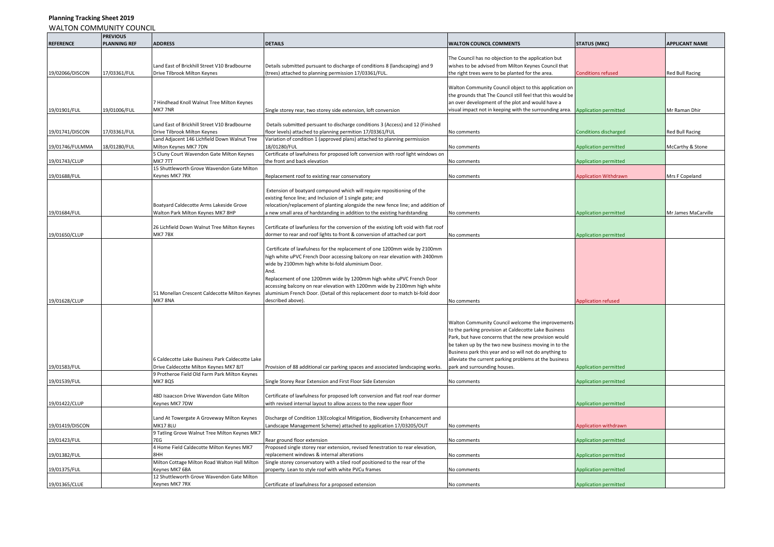## WALTON COMMUNITY COUNCIL **REFERENCE PREVIOUS PLANNING REF ADDRESS DETAILS WALTON COUNCIL COMMENTS STATUS (MKC) APPLICANT NAME** 19/02066/DISCON 17/03361/FUL Land East of Brickhill Street V10 Bradbourne Drive Tilbrook Milton Keynes Details submitted pursuant to discharge of conditions 8 (landscaping) and 9 (trees) attached to planning permission 17/03361/FUL. The Council has no objection to the application but wishes to be advised from Milton Keynes Council that the right trees were to be planted for the area. Conditions refused Red Bull Racing 19/01901/FUL 19/01006/FUL 7 Hindhead Knoll Walnut Tree Milton Keynes<br>MK7 7NP Single storey rear, two storey side extension, loft conversion Walton Community Council object to this application on the grounds that The Council still feel that this would be an over development of the plot and would have a visual impact not in keeping with the surrounding area. Application permitted Mr Mr Raman Dhir 19/01741/DISCON 17/03361/FUL Land East of Brickhill Street V10 Bradbourne Drive Tilbrook Milton Keynes Details submitted persuant to discharge conditions 3 (Access) and 12 (Finished floor levels) attached to planning permition 17/03361/FUL No comments Conditions discharged Red Bull Racing 19/01746/FULMMA 18/01280/FUL Land Adjacent 146 Lichfield Down Walnut Tree Milton Keynes MK7 7DN Variation of condition 1 (approved plans) attached to planning permission 18/01280/FUL No comments No comments Application permitted McCarthy & Stone 19/01743/CLUP 5 Cluny Court Wavendon Gate Milton Keynes MK7 7TT Certificate of lawfulness for proposed loft conversion with roof light windows on the front and back elevation number of the state of the comments and the comments and the comments and the Application permitted 19/01688/FUL 15 Shuttleworth Grove Wavendon Gate Milton<br>Kevnes MK7 7RX Replacement roof to existing rear conservatory No comments No comments Application Withdrawn Mrs F Copeland 19/01684/FUL Boatyard Caldecotte Arms Lakeside Grove Walton Park Milton Keynes MK7 8HP Extension of boatyard compound which will require repositioning of the existing fence line; and Inclusion of 1 single gate; and relocation/replacement of planting alongside the new fence line; and addition of a new small area of hardstanding in addition to the existing hardstanding No comments No comments Application permitted Mr James MaCarville 19/01650/CLUP 26 Lichfield Down Walnut Tree Milton Keynes MK7 7BX Certificate of lawfunless for the conversion of the existing loft void with flat roof dormer to rear and roof lights to front & conversion of attached car port No comments Application permitted 19/01628/CLUP 51 Monellan Crescent Caldecotte Milton Keynes MK7 8NA Certificate of lawfulness for the replacement of one 1200mm wide by 2100mm high white uPVC French Door accessing balcony on rear elevation with 2400mm wide by 2100mm high white bi-fold aluminium Door. And. Replacement of one 1200mm wide by 1200mm high white uPVC French Door accessing balcony on rear elevation with 1200mm wide by 2100mm high white aluminium French Door. (Detail of this replacement door to match bi-fold door described above). **Application refused** above). No comments and application refused above). 19/01583/FUL 6 Caldecotte Lake Business Park Caldecotte Lake Drive Caldecotte Milton Keynes MK7 8JT Provision of 88 additional car parking spaces and associated landscaping works. Walton Community Council welcome the improvements to the parking provision at Caldecotte Lake Business Park, but have concerns that the new provision would be taken up by the two new business moving in to the Business park this year and so will not do anything to alleviate the current parking problems at the business park and surrounding houses. Application permitted 19/01539/FUL 9 Protheroe Field Old Farm Park Milton Keynes Single Storey Rear Extension and First Floor Side Extension No comments Application nermitted Application permitted 19/01422/CLUP 48D Isaacson Drive Wavendon Gate Milton Keynes MK7 7DW Certificate of lawfulness for proposed loft conversion and flat roof rear dormer with revised internal layout to allow access to the new upper floor Application permitted and the new upper floor Application permitted 19/01419/DISCON Land At Towergate A Groveway Milton Keynes **MK17 8LU** Discharge of Condition 13(Ecological Mitigation, Biodiversity Enhancement and andscape Management Scheme) attached to application 17/03205/OUT No comments Application Mindrawn 19/01423/FUL 9 Tatling Grove Walnut Tree Milton Keynes MK7 7EG 2001 Rear ground floor extension Notation 2001 Rear and December 2001 Rear and December 2001 Rear and December 2012 Rear and December 2013 Rear and December 2013 Rear and December 2013 Rear and December 2013 Rear and D 19/01382/FUL 4 Home Field Caldecotte Milton Keynes MK7 8HH Proposed single storey rear extension, revised fenestration to rear elevation, replacement windows & internal alterations No comments Application permitted 19/01375/FUL Milton Cottage Milton Road Walton Hall Milton Keynes MK7 6BA Single storey conservatory with a tiled roof positioned to the rear of the property. Lean to style roof with white PVCu frames No comments No comments Application permitted 19/01365/CLUE 12 Shuttleworth Grove Wavendon Gate Milton Certificate of lawfulness for a proposed extension No comments No comments Application permitted

**Planning Tracking Sheet 2019**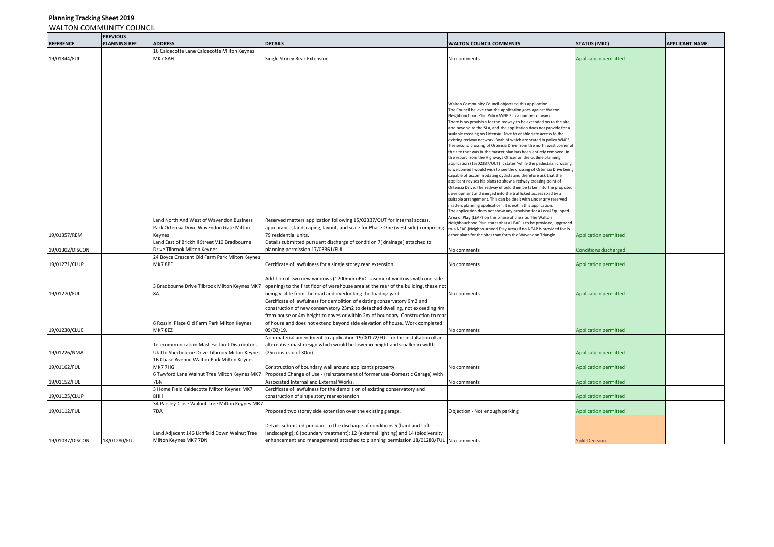|                  | <b>PREVIOUS</b>     |                                                                       |                                                                                                                                                                           |                                                                                                                                       |                              |                       |
|------------------|---------------------|-----------------------------------------------------------------------|---------------------------------------------------------------------------------------------------------------------------------------------------------------------------|---------------------------------------------------------------------------------------------------------------------------------------|------------------------------|-----------------------|
| <b>REFERENCE</b> | <b>PLANNING REF</b> | <b>ADDRESS</b>                                                        | <b>DETAILS</b>                                                                                                                                                            | <b>WALTON COUNCIL COMMENTS</b>                                                                                                        | <b>STATUS (MKC)</b>          | <b>APPLICANT NAME</b> |
|                  |                     | 16 Caldecotte Lane Caldecotte Milton Keynes                           |                                                                                                                                                                           |                                                                                                                                       |                              |                       |
| 19/01344/FUL     |                     | MK7 8AH                                                               | Single Storey Rear Extension                                                                                                                                              | No comments                                                                                                                           | <b>Application permitted</b> |                       |
|                  |                     |                                                                       |                                                                                                                                                                           |                                                                                                                                       |                              |                       |
|                  |                     |                                                                       |                                                                                                                                                                           |                                                                                                                                       |                              |                       |
|                  |                     |                                                                       |                                                                                                                                                                           |                                                                                                                                       |                              |                       |
|                  |                     |                                                                       |                                                                                                                                                                           |                                                                                                                                       |                              |                       |
|                  |                     |                                                                       |                                                                                                                                                                           |                                                                                                                                       |                              |                       |
|                  |                     |                                                                       |                                                                                                                                                                           | Walton Community Council objects to this application.<br>The Council believe that the application goes against Walton                 |                              |                       |
|                  |                     |                                                                       |                                                                                                                                                                           | Neighbourhood Plan Policy WNP 3 in a number of ways.                                                                                  |                              |                       |
|                  |                     |                                                                       |                                                                                                                                                                           | There is no provision for the redway to be extended on to the site                                                                    |                              |                       |
|                  |                     |                                                                       |                                                                                                                                                                           | and beyond to the SLA, and the application does not provide for a<br>suitable crossing on Ortensia Drive to enable safe access to the |                              |                       |
|                  |                     |                                                                       |                                                                                                                                                                           | existing redway network. Both of which are stated in policy WNP3.                                                                     |                              |                       |
|                  |                     |                                                                       |                                                                                                                                                                           | The second crossing of Ortensia Drive from the north west corner of                                                                   |                              |                       |
|                  |                     |                                                                       |                                                                                                                                                                           | the site that was in the master plan has been entirely removed. In                                                                    |                              |                       |
|                  |                     |                                                                       |                                                                                                                                                                           | the report from the Highways Officer on the outline planning<br>application (15/02337/OUT) it states 'while the pedestrian crossing   |                              |                       |
|                  |                     |                                                                       |                                                                                                                                                                           | is welcomed I would wish to see the crossing of Ortensia Drive being                                                                  |                              |                       |
|                  |                     |                                                                       |                                                                                                                                                                           | capable of accommodating cyclists and therefore ask that the                                                                          |                              |                       |
|                  |                     |                                                                       |                                                                                                                                                                           | applicant revises his plans to show a redway crossing point of<br>Ortensia Drive. The redway should then be taken into the proposed   |                              |                       |
|                  |                     |                                                                       |                                                                                                                                                                           | development and merged into the trafficked access road by a                                                                           |                              |                       |
|                  |                     |                                                                       |                                                                                                                                                                           | suitable arrangement. This can be dealt with under any reserved                                                                       |                              |                       |
|                  |                     |                                                                       |                                                                                                                                                                           | matters planning application'. It is not in this application.<br>The application does not show any provision for a Local Equipped     |                              |                       |
|                  |                     |                                                                       |                                                                                                                                                                           | Area of Play (LEAP) on this phase of the site. The Walton                                                                             |                              |                       |
|                  |                     | Land North And West of Wavendon Business                              | Reserved matters application following 15/02337/OUT for internal access,                                                                                                  | Neighbourhood Plan states that a LEAP is to be provided, upgraded                                                                     |                              |                       |
| 19/01357/REM     |                     | Park Ortensia Drive Wavendon Gate Milton<br>Keynes                    | appearance, landscaping, layout, and scale for Phase One (west side) comprising<br>79 residential units.                                                                  | to a NEAP (Neighbourhood Play Area) if no NEAP is provided for in<br>other plans for the sites that form the Wavendon Triangle.       | <b>Application permitted</b> |                       |
|                  |                     | Land East of Brickhill Street V10 Bradbourne                          | Details submitted pursuant discharge of condition 7( drainage) attached to                                                                                                |                                                                                                                                       |                              |                       |
| 19/01302/DISCON  |                     | Drive Tilbrook Milton Keynes                                          | planning permission 17/03361/FUL.                                                                                                                                         | No comments                                                                                                                           | <b>Conditions discharged</b> |                       |
|                  |                     | 24 Boyce Crescent Old Farm Park Milton Keynes                         |                                                                                                                                                                           |                                                                                                                                       |                              |                       |
| 19/01271/CLUP    |                     | MK78PF                                                                | Certificate of lawfulness for a single storey rear extension                                                                                                              | No comments                                                                                                                           | <b>Application permitted</b> |                       |
|                  |                     |                                                                       |                                                                                                                                                                           |                                                                                                                                       |                              |                       |
|                  |                     |                                                                       | Addition of two new windows (1200mm uPVC casement windows with one side                                                                                                   |                                                                                                                                       |                              |                       |
|                  |                     | 3 Bradbourne Drive Tilbrook Milton Keynes MK7                         | opening) to the first floor of warehouse area at the rear of the building, these not                                                                                      |                                                                                                                                       |                              |                       |
| 19/01270/FUL     |                     | 8AJ                                                                   | being visible from the road and overlooking the loading yard.                                                                                                             | No comments                                                                                                                           | <b>Application permitted</b> |                       |
|                  |                     |                                                                       | Certificate of lawfulness for demolition of existing conservatory 9m2 and                                                                                                 |                                                                                                                                       |                              |                       |
|                  |                     |                                                                       | construction of new conservatory 23m2 to detached dwelling, not exceeding 4m                                                                                              |                                                                                                                                       |                              |                       |
|                  |                     |                                                                       | from house or 4m height to eaves or within 2m of boundary. Construction to rear                                                                                           |                                                                                                                                       |                              |                       |
| 19/01230/CLUE    |                     | 6 Rossini Place Old Farm Park Milton Keynes<br>MK78EZ                 | of house and does not extend beyond side elevation of house. Work completed<br>09/02/19.                                                                                  | No comments                                                                                                                           | <b>Application permitted</b> |                       |
|                  |                     |                                                                       | Non material amendment to application 19/00172/FUL for the installation of an                                                                                             |                                                                                                                                       |                              |                       |
|                  |                     | Telecommunication Mast Fastbolt Distributors                          | alternative mast design which would be lower in height and smaller in width                                                                                               |                                                                                                                                       |                              |                       |
| 19/01226/NMA     |                     | Uk Ltd Sherbourne Drive Tilbrook Milton Keynes                        | (25m instead of 30m)                                                                                                                                                      |                                                                                                                                       | <b>Application permitted</b> |                       |
|                  |                     | 1B Chase Avenue Walton Park Milton Keynes                             |                                                                                                                                                                           |                                                                                                                                       |                              |                       |
| 19/01162/FUL     |                     | MK7 7HG                                                               | Construction of boundary wall around applicants property.                                                                                                                 | No comments                                                                                                                           | Application permitted        |                       |
|                  |                     | 6 Twyford Lane Walnut Tree Milton Keynes MK7                          | Proposed Change of Use - (reinstatement of former use -Domestic Garage) with                                                                                              |                                                                                                                                       |                              |                       |
| 19/01152/FUL     |                     | 7BN                                                                   | Associated Internal and External Works.                                                                                                                                   | No comments                                                                                                                           | <b>Application permitted</b> |                       |
|                  |                     | 3 Home Field Caldecotte Milton Keynes MK7                             | Certificate of lawfulness for the demolition of existing conservatory and                                                                                                 |                                                                                                                                       |                              |                       |
| 19/01125/CLUP    |                     | 8HH                                                                   | construction of single story rear extension                                                                                                                               |                                                                                                                                       | <b>Application permitted</b> |                       |
|                  |                     | 34 Parsley Close Walnut Tree Milton Keynes MK7                        |                                                                                                                                                                           |                                                                                                                                       |                              |                       |
| 19/01112/FUL     |                     | 7DA                                                                   | Proposed two storey side extension over the existing garage.                                                                                                              | Objection - Not enough parking                                                                                                        | <b>Application permitted</b> |                       |
|                  |                     |                                                                       |                                                                                                                                                                           |                                                                                                                                       |                              |                       |
|                  |                     |                                                                       | Details submitted pursuant to the discharge of conditions 5 (hard and soft                                                                                                |                                                                                                                                       |                              |                       |
| 19/01037/DISCON  | 18/01280/FUL        | Land Adjacent 146 Lichfield Down Walnut Tree<br>Milton Keynes MK7 7DN | landscaping); 6 (boundary treatment); 12 (external lighting) and 14 (biodiversity<br>enhancement and management) attached to planning permission 18/01280/FUL No comments |                                                                                                                                       |                              |                       |
|                  |                     |                                                                       |                                                                                                                                                                           |                                                                                                                                       | <b>Split Decision</b>        |                       |

**Planning Tracking Sheet 2019**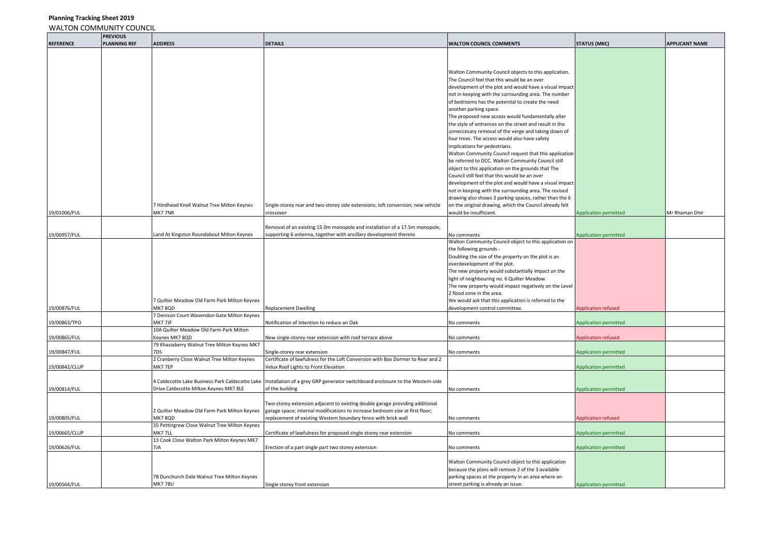|                  | <b>PREVIOUS</b>     |                                                 |                                                                                 |                                                         |                              |                       |
|------------------|---------------------|-------------------------------------------------|---------------------------------------------------------------------------------|---------------------------------------------------------|------------------------------|-----------------------|
| <b>REFERENCE</b> | <b>PLANNING REF</b> | <b>ADDRESS</b>                                  | <b>DETAILS</b>                                                                  | <b>WALTON COUNCIL COMMENTS</b>                          | <b>STATUS (MKC)</b>          | <b>APPLICANT NAME</b> |
|                  |                     |                                                 |                                                                                 |                                                         |                              |                       |
|                  |                     |                                                 |                                                                                 |                                                         |                              |                       |
|                  |                     |                                                 |                                                                                 |                                                         |                              |                       |
|                  |                     |                                                 |                                                                                 | Walton Community Council objects to this application.   |                              |                       |
|                  |                     |                                                 |                                                                                 | The Council feel that this would be an over             |                              |                       |
|                  |                     |                                                 |                                                                                 | development of the plot and would have a visual impact  |                              |                       |
|                  |                     |                                                 |                                                                                 | not in keeping with the surrounding area. The number    |                              |                       |
|                  |                     |                                                 |                                                                                 | of bedrooms has the potential to create the need        |                              |                       |
|                  |                     |                                                 |                                                                                 | another parking space.                                  |                              |                       |
|                  |                     |                                                 |                                                                                 |                                                         |                              |                       |
|                  |                     |                                                 |                                                                                 | The proposed new access would fundamentally alter       |                              |                       |
|                  |                     |                                                 |                                                                                 | the style of entrances on the street and result in the  |                              |                       |
|                  |                     |                                                 |                                                                                 | unneccesary removal of the verge and taking down of     |                              |                       |
|                  |                     |                                                 |                                                                                 | four trees. The access would also have safety           |                              |                       |
|                  |                     |                                                 |                                                                                 | implications for pedestrians.                           |                              |                       |
|                  |                     |                                                 |                                                                                 | Walton Community Council request that this application  |                              |                       |
|                  |                     |                                                 |                                                                                 | be referred to DCC. Walton Community Council still      |                              |                       |
|                  |                     |                                                 |                                                                                 | object to this application on the grounds that The      |                              |                       |
|                  |                     |                                                 |                                                                                 | Council still feel that this would be an over           |                              |                       |
|                  |                     |                                                 |                                                                                 | development of the plot and would have a visual impact  |                              |                       |
|                  |                     |                                                 |                                                                                 | not in keeping with the surrounding area. The revised   |                              |                       |
|                  |                     |                                                 |                                                                                 | drawing also shows 3 parking spaces, rather than the 6  |                              |                       |
|                  |                     |                                                 |                                                                                 |                                                         |                              |                       |
|                  |                     | 7 Hindhead Knoll Walnut Tree Milton Keynes      | Single-storey rear and two-storey side extensions; loft conversion; new vehicle | on the original drawing, which the Council already felt |                              |                       |
| 19/01006/FUL     |                     | MK7 7NR                                         | crossover                                                                       | would be insufficient.                                  | <b>Application permitted</b> | Mr Rhaman Dhir        |
|                  |                     |                                                 |                                                                                 |                                                         |                              |                       |
|                  |                     |                                                 | Removal of an existing 15.0m monopole and installation of a 17.5m monopole,     |                                                         |                              |                       |
| 19/00957/FUL     |                     | Land At Kingston Roundabout Milton Keynes       | supporting 6 antenna, together with ancillary development thereto               | No comments                                             | <b>Application permitted</b> |                       |
|                  |                     |                                                 |                                                                                 | Walton Community Council object to this application on  |                              |                       |
|                  |                     |                                                 |                                                                                 | the following grounds -                                 |                              |                       |
|                  |                     |                                                 |                                                                                 | Doubling the size of the property on the plot is an     |                              |                       |
|                  |                     |                                                 |                                                                                 | overdevelopment of the plot.                            |                              |                       |
|                  |                     |                                                 |                                                                                 | The new property would substantially impact on the      |                              |                       |
|                  |                     |                                                 |                                                                                 | light of neighbouring no. 6 Quilter Meadow.             |                              |                       |
|                  |                     |                                                 |                                                                                 | The new property would impact negatively on the Level   |                              |                       |
|                  |                     |                                                 |                                                                                 | 2 flood zone in the area.                               |                              |                       |
|                  |                     | 7 Quilter Meadow Old Farm Park Milton Keynes    |                                                                                 | We would ask that this application is referred to the   |                              |                       |
|                  |                     | MK78QD                                          |                                                                                 | development control committee.                          |                              |                       |
| 19/00876/FUL     |                     |                                                 | <b>Replacement Dwelling</b>                                                     |                                                         | Application refused          |                       |
|                  |                     | 7 Denison Court Wavendon Gate Milton Keynes     |                                                                                 |                                                         |                              |                       |
| 19/00863/TPO     |                     | MK7 7JF                                         | Notification of intention to reduce an Oak                                      | No comments                                             | <b>Application permitted</b> |                       |
|                  |                     | 10A Quilter Meadow Old Farm Park Milton         |                                                                                 |                                                         |                              |                       |
| 19/00865/FUL     |                     | Keynes MK7 8QD                                  | New single-storey rear extension with roof terrace above                        | No comments                                             | Application refused          |                       |
|                  |                     | 79 Khasiaberry Walnut Tree Milton Keynes MK7    |                                                                                 |                                                         |                              |                       |
| 19/00847/FUL     |                     | 7DS                                             | Single-storey rear extension                                                    | No comments                                             | <b>Application permitted</b> |                       |
|                  |                     | 2 Cranberry Close Walnut Tree Milton Keynes     | Certificate of lawfulness for the Loft Conversion with Box Dormer to Rear and 2 |                                                         |                              |                       |
| 19/00842/CLUP    |                     | MK77EP                                          | Velux Roof Lights to Front Elevation                                            |                                                         | <b>Application permitted</b> |                       |
|                  |                     |                                                 |                                                                                 |                                                         |                              |                       |
|                  |                     | 4 Caldecotte Lake Business Park Caldecotte Lake | Installation of a grey GRP generator switchboard enclosure to the Western side  |                                                         |                              |                       |
| 19/00814/FUL     |                     | Drive Caldecotte Milton Keynes MK7 8LE          | of the building                                                                 | No comments                                             | <b>Application permitted</b> |                       |
|                  |                     |                                                 |                                                                                 |                                                         |                              |                       |
|                  |                     |                                                 | Two-storey extension adjacent to existing double garage providing additional    |                                                         |                              |                       |
|                  |                     | 2 Quilter Meadow Old Farm Park Milton Keynes    | garage space; internal modifications to increase bedroom size at first floor;   |                                                         |                              |                       |
|                  |                     |                                                 |                                                                                 |                                                         |                              |                       |
| 19/00805/FUL     |                     | <b>MK7 8QD</b>                                  | replacement of existing Western boundary fence with brick wall                  | No comments                                             | Application refused          |                       |
|                  |                     | 35 Pettingrew Close Walnut Tree Milton Keynes   |                                                                                 |                                                         |                              |                       |
| 19/00665/CLUP    |                     | MK77LL                                          | Certificate of lawfulness for proposed single storey rear extension             | No comments                                             | <b>Application permitted</b> |                       |
|                  |                     | 13 Cook Close Walton Park Milton Keynes MK7     |                                                                                 |                                                         |                              |                       |
| 19/00626/FUL     |                     | 7JA                                             | Erection of a part single part two storey extension                             | No comments                                             | <b>Application permitted</b> |                       |
|                  |                     |                                                 |                                                                                 |                                                         |                              |                       |
|                  |                     |                                                 |                                                                                 | Walton Community Council object to this application     |                              |                       |
|                  |                     |                                                 |                                                                                 | because the plans will remove 2 of the 3 available      |                              |                       |
|                  |                     | 78 Dunchurch Dale Walnut Tree Milton Keynes     |                                                                                 | parking spaces at the property in an area where on      |                              |                       |
| 19/00564/FUL     |                     | MK77BU                                          | Single storey front extension                                                   | street parking is already an issue.                     | <b>Application permitted</b> |                       |
|                  |                     |                                                 |                                                                                 |                                                         |                              |                       |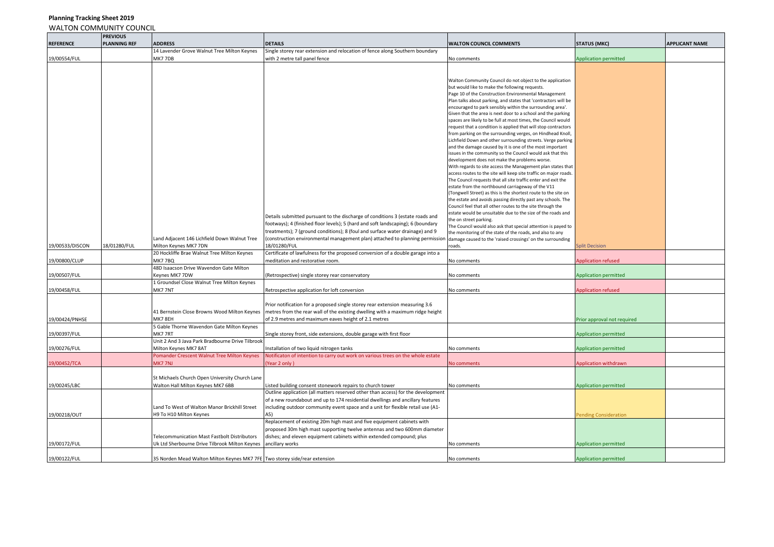| <b>REFERENCE</b> | <b>PREVIOUS</b><br><b>PLANNING REF</b> | <b>ADDRESS</b>                                                             | <b>DETAILS</b>                                                                   | <b>WALTON COUNCIL COMMENTS</b>                                                                                             | <b>STATUS (MKC)</b>          | <b>APPLICANT NAME</b> |
|------------------|----------------------------------------|----------------------------------------------------------------------------|----------------------------------------------------------------------------------|----------------------------------------------------------------------------------------------------------------------------|------------------------------|-----------------------|
|                  |                                        | 14 Lavender Grove Walnut Tree Milton Keynes                                | Single storey rear extension and relocation of fence along Southern boundary     |                                                                                                                            |                              |                       |
| 19/00554/FUL     |                                        | MK77DB                                                                     | with 2 metre tall panel fence                                                    | No comments                                                                                                                | <b>Application permitted</b> |                       |
|                  |                                        |                                                                            |                                                                                  |                                                                                                                            |                              |                       |
|                  |                                        |                                                                            |                                                                                  |                                                                                                                            |                              |                       |
|                  |                                        |                                                                            |                                                                                  | Walton Community Council do not object to the application                                                                  |                              |                       |
|                  |                                        |                                                                            |                                                                                  | but would like to make the following requests.                                                                             |                              |                       |
|                  |                                        |                                                                            |                                                                                  | Page 10 of the Construction Environmental Management                                                                       |                              |                       |
|                  |                                        |                                                                            |                                                                                  | Plan talks about parking, and states that 'contractors will be                                                             |                              |                       |
|                  |                                        |                                                                            |                                                                                  | encouraged to park sensibly within the surrounding area'.                                                                  |                              |                       |
|                  |                                        |                                                                            |                                                                                  | Given that the area is next door to a school and the parking                                                               |                              |                       |
|                  |                                        |                                                                            |                                                                                  | spaces are likely to be full at most times, the Council would                                                              |                              |                       |
|                  |                                        |                                                                            |                                                                                  | request that a condition is applied that will stop contractors                                                             |                              |                       |
|                  |                                        |                                                                            |                                                                                  | from parking on the surrounding verges, on Hindhead Knoll,                                                                 |                              |                       |
|                  |                                        |                                                                            |                                                                                  | Lichfield Down and other surrounding streets. Verge parking                                                                |                              |                       |
|                  |                                        |                                                                            |                                                                                  | and the damage caused by it is one of the most important                                                                   |                              |                       |
|                  |                                        |                                                                            |                                                                                  | issues in the community so the Council would ask that this                                                                 |                              |                       |
|                  |                                        |                                                                            |                                                                                  | development does not make the problems worse.                                                                              |                              |                       |
|                  |                                        |                                                                            |                                                                                  | With regards to site access the Management plan states that                                                                |                              |                       |
|                  |                                        |                                                                            |                                                                                  | access routes to the site will keep site traffic on major roads.                                                           |                              |                       |
|                  |                                        |                                                                            |                                                                                  | The Council requests that all site traffic enter and exit the                                                              |                              |                       |
|                  |                                        |                                                                            |                                                                                  | estate from the northbound carriageway of the V11                                                                          |                              |                       |
|                  |                                        |                                                                            |                                                                                  | (Tongwell Street) as this is the shortest route to the site on                                                             |                              |                       |
|                  |                                        |                                                                            |                                                                                  | the estate and avoids passing directly past any schools. The<br>Council feel that all other routes to the site through the |                              |                       |
|                  |                                        |                                                                            |                                                                                  | estate would be unsuitable due to the size of the roads and                                                                |                              |                       |
|                  |                                        |                                                                            | Details submitted pursuant to the discharge of conditions 3 (estate roads and    | the on street parking.                                                                                                     |                              |                       |
|                  |                                        |                                                                            | footways); 4 (finished floor levels); 5 (hard and soft landscaping); 6 (boundary | The Council would also ask that special attention is payed to                                                              |                              |                       |
|                  |                                        |                                                                            | reatments); 7 (ground conditions); 8 (foul and surface water drainage) and 9     | the monitoring of the state of the roads, and also to any                                                                  |                              |                       |
|                  |                                        | Land Adjacent 146 Lichfield Down Walnut Tree                               | construction environmental management plan) attached to planning permission      | damage caused to the 'raised crossings' on the surrounding                                                                 |                              |                       |
| 19/00533/DISCON  | 18/01280/FUL                           | Milton Keynes MK7 7DN                                                      | 18/01280/FUL                                                                     | roads.                                                                                                                     | <b>Split Decision</b>        |                       |
|                  |                                        | 20 Hockliffe Brae Walnut Tree Milton Keynes                                | Certificate of lawfulness for the proposed conversion of a double garage into a  |                                                                                                                            |                              |                       |
| 19/00800/CLUP    |                                        | <b>MK77BQ</b>                                                              | neditation and restorative room.                                                 | No comments                                                                                                                | pplication refused           |                       |
|                  |                                        | 48D Isaacson Drive Wavendon Gate Milton                                    |                                                                                  |                                                                                                                            |                              |                       |
| 19/00507/FUL     |                                        | Keynes MK7 7DW                                                             | Retrospective) single storey rear conservatory                                   | No comments                                                                                                                | <b>Application permitted</b> |                       |
|                  |                                        | 1 Groundsel Close Walnut Tree Milton Keynes                                |                                                                                  |                                                                                                                            |                              |                       |
| 19/00458/FUL     |                                        | MK77NT                                                                     | Retrospective application for loft conversion                                    | No comments                                                                                                                | Application refused          |                       |
|                  |                                        |                                                                            |                                                                                  |                                                                                                                            |                              |                       |
|                  |                                        |                                                                            | Prior notification for a proposed single storey rear extension measuring 3.6     |                                                                                                                            |                              |                       |
|                  |                                        | 41 Bernstein Close Browns Wood Milton Keynes                               | metres from the rear wall of the existing dwelling with a maximum ridge height   |                                                                                                                            |                              |                       |
| 19/00424/PNHSE   |                                        | MK7 8EH                                                                    | of 2.9 metres and maximum eaves height of 2.1 metres                             |                                                                                                                            | Prior approval not required  |                       |
|                  |                                        | 5 Gable Thorne Wavendon Gate Milton Keynes                                 |                                                                                  |                                                                                                                            |                              |                       |
| 19/00397/FUL     |                                        | MK77RT                                                                     | Single storey front, side extensions, double garage with first floor             |                                                                                                                            | <b>Application permitted</b> |                       |
|                  |                                        | Unit 2 And 3 Java Park Bradbourne Drive Tilbrook                           |                                                                                  |                                                                                                                            |                              |                       |
| 19/00276/FUL     |                                        | Milton Keynes MK7 8AT                                                      | nstallation of two liquid nitrogen tanks                                         | No comments                                                                                                                | <b>Application permitted</b> |                       |
|                  |                                        | Pomander Crescent Walnut Tree Milton Keynes                                | Notificaton of intention to carry out work on various trees on the whole estate  |                                                                                                                            |                              |                       |
| 19/00452/TCA     |                                        | <b>MK77NJ</b>                                                              | Year 2 only)                                                                     |                                                                                                                            | Application withdrawn        |                       |
|                  |                                        |                                                                            |                                                                                  | <b>No comments</b>                                                                                                         |                              |                       |
|                  |                                        |                                                                            |                                                                                  |                                                                                                                            |                              |                       |
|                  |                                        | St Michaels Church Open University Church Lane                             |                                                                                  |                                                                                                                            |                              |                       |
| 19/00245/LBC     |                                        | Walton Hall Milton Keynes MK7 6BB                                          | Listed building consent stonework repairs to church tower                        | No comments                                                                                                                | <b>Application permitted</b> |                       |
|                  |                                        |                                                                            | Outline application (all matters reserved other than access) for the development |                                                                                                                            |                              |                       |
|                  |                                        |                                                                            | of a new roundabout and up to 174 residential dwellings and ancillary features   |                                                                                                                            |                              |                       |
|                  |                                        | Land To West of Walton Manor Brickhill Street                              | including outdoor community event space and a unit for flexible retail use (A1-  |                                                                                                                            |                              |                       |
| 19/00218/OUT     |                                        | H9 To H10 Milton Keynes                                                    | A5)                                                                              |                                                                                                                            | ending Consideration         |                       |
|                  |                                        |                                                                            | Replacement of existing 20m high mast and five equipment cabinets with           |                                                                                                                            |                              |                       |
|                  |                                        |                                                                            | proposed 30m high mast supporting twelve antennas and two 600mm diameter         |                                                                                                                            |                              |                       |
|                  |                                        | <b>Telecommunication Mast Fastbolt Distributors</b>                        | dishes; and eleven equipment cabinets within extended compound; plus             |                                                                                                                            |                              |                       |
| 19/00172/FUL     |                                        | Uk Ltd Sherbourne Drive Tilbrook Milton Keynes                             | ancillary works                                                                  | No comments                                                                                                                | <b>Application permitted</b> |                       |
|                  |                                        |                                                                            |                                                                                  |                                                                                                                            |                              |                       |
| 19/00122/FUL     |                                        | 35 Norden Mead Walton Milton Keynes MK7 7FE Two storey side/rear extension |                                                                                  | No comments                                                                                                                | <b>Application permitted</b> |                       |
|                  |                                        |                                                                            |                                                                                  |                                                                                                                            |                              |                       |

## **Planning Tracking Sheet 2019** WALTON COMMUNITY COUNCIL